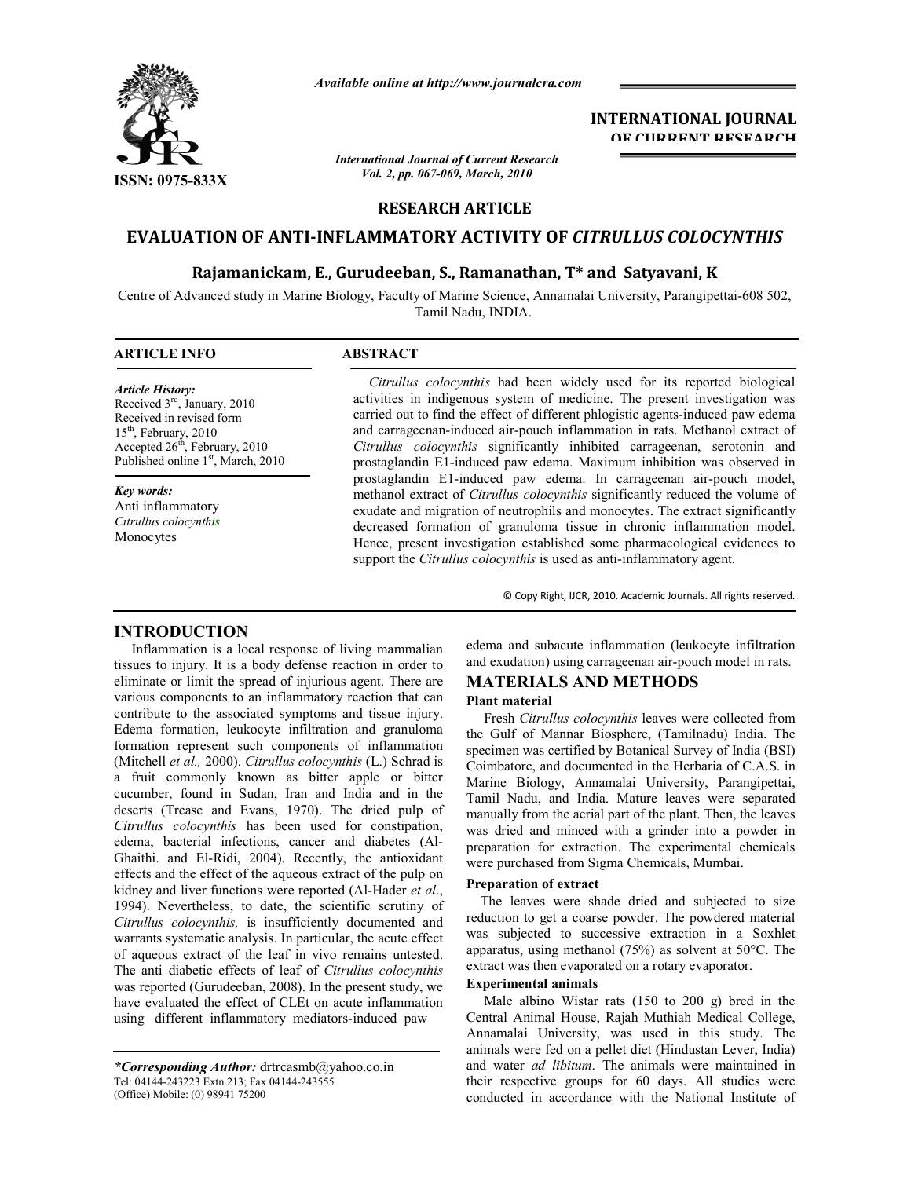

*Available online at http://www.journalcra.com*

*International Journal of Current Research Vol. 2, pp. 067-069, March, 2010*

## **INTERNATIONAL JOURNAL OF CURRENT RESEARCH**

## **RESEARCH ARTICLE**

# **EVALUATION OF ANTI-INFLAMMATORY ACTIVITY OF** *CITRULLUS COLOCYNTHIS*

## **Rajamanickam, E., Gurudeeban, S., Ramanathan, T\* and Satyavani, K**

Centre of Advanced study in Marine Biology, Faculty of Marine Science, Annamalai University, Parangipettai-608 502, Tamil Nadu, INDIA.

# **ARTICLE INFO ABSTRACT**

#### *Article History:*

Received 3rd, January, 2010 Received in revised form 15<sup>th</sup>, February, 2010 Accepted  $26<sup>th</sup>$ , February, 2010 Published online 1<sup>st</sup>, March, 2010

*Key words:* Anti inflammatory *Citrullus colocynthis* Monocytes

 *Citrullus colocynthis* had been widely used for its reported biological activities in indigenous system of medicine. The present investigation was carried out to find the effect of different phlogistic agents-induced paw edema and carrageenan-induced air-pouch inflammation in rats. Methanol extract of *Citrullus colocynthis* significantly inhibited carrageenan, serotonin and prostaglandin E1-induced paw edema. Maximum inhibition was observed in prostaglandin E1-induced paw edema. In carrageenan air-pouch model, methanol extract of *Citrullus colocynthis* significantly reduced the volume of exudate and migration of neutrophils and monocytes. The extract significantly decreased formation of granuloma tissue in chronic inflammation model. Hence, present investigation established some pharmacological evidences to support the *Citrullus colocynthis* is used as anti-inflammatory agent.

© Copy Right, IJCR, 2010. Academic Journals. All rights reserved.

# **INTRODUCTION**

 Inflammation is a local response of living mammalian tissues to injury. It is a body defense reaction in order to eliminate or limit the spread of injurious agent. There are various components to an inflammatory reaction that can contribute to the associated symptoms and tissue injury. Edema formation, leukocyte infiltration and granuloma formation represent such components of inflammation (Mitchell *et al.,* 2000). *Citrullus colocynthis* (L.) Schrad is a fruit commonly known as bitter apple or bitter cucumber, found in Sudan, Iran and India and in the deserts (Trease and Evans, 1970). The dried pulp of *Citrullus colocynthis* has been used for constipation, edema, bacterial infections, cancer and diabetes (Al-Ghaithi. and El-Ridi, 2004). Recently, the antioxidant effects and the effect of the aqueous extract of the pulp on kidney and liver functions were reported (Al-Hader *et al*., 1994). Nevertheless, to date, the scientific scrutiny of *Citrullus colocynthis,* is insufficiently documented and warrants systematic analysis. In particular, the acute effect of aqueous extract of the leaf in vivo remains untested. The anti diabetic effects of leaf of *Citrullus colocynthis*  was reported (Gurudeeban, 2008). In the present study, we have evaluated the effect of CLEt on acute inflammation using different inflammatory mediators-induced paw

edema and subacute inflammation (leukocyte infiltration and exudation) using carrageenan air-pouch model in rats.

## **MATERIALS AND METHODS**

## **Plant material**

 Fresh *Citrullus colocynthis* leaves were collected from the Gulf of Mannar Biosphere, (Tamilnadu) India. The specimen was certified by Botanical Survey of India (BSI) Coimbatore, and documented in the Herbaria of C.A.S. in Marine Biology, Annamalai University, Parangipettai, Tamil Nadu, and India. Mature leaves were separated manually from the aerial part of the plant. Then, the leaves was dried and minced with a grinder into a powder in preparation for extraction. The experimental chemicals were purchased from Sigma Chemicals, Mumbai.

## **Preparation of extract**

 The leaves were shade dried and subjected to size reduction to get a coarse powder. The powdered material was subjected to successive extraction in a Soxhlet apparatus, using methanol (75%) as solvent at 50°C. The extract was then evaporated on a rotary evaporator.

## **Experimental animals**

 Male albino Wistar rats (150 to 200 g) bred in the Central Animal House, Rajah Muthiah Medical College, Annamalai University, was used in this study. The animals were fed on a pellet diet (Hindustan Lever, India) and water *ad libitum*. The animals were maintained in their respective groups for 60 days. All studies were conducted in accordance with the National Institute of

*<sup>\*</sup>Corresponding Author:* drtrcasmb@yahoo.co.in Tel: 04144-243223 Extn 213; Fax 04144-243555 (Office) Mobile: (0) 98941 75200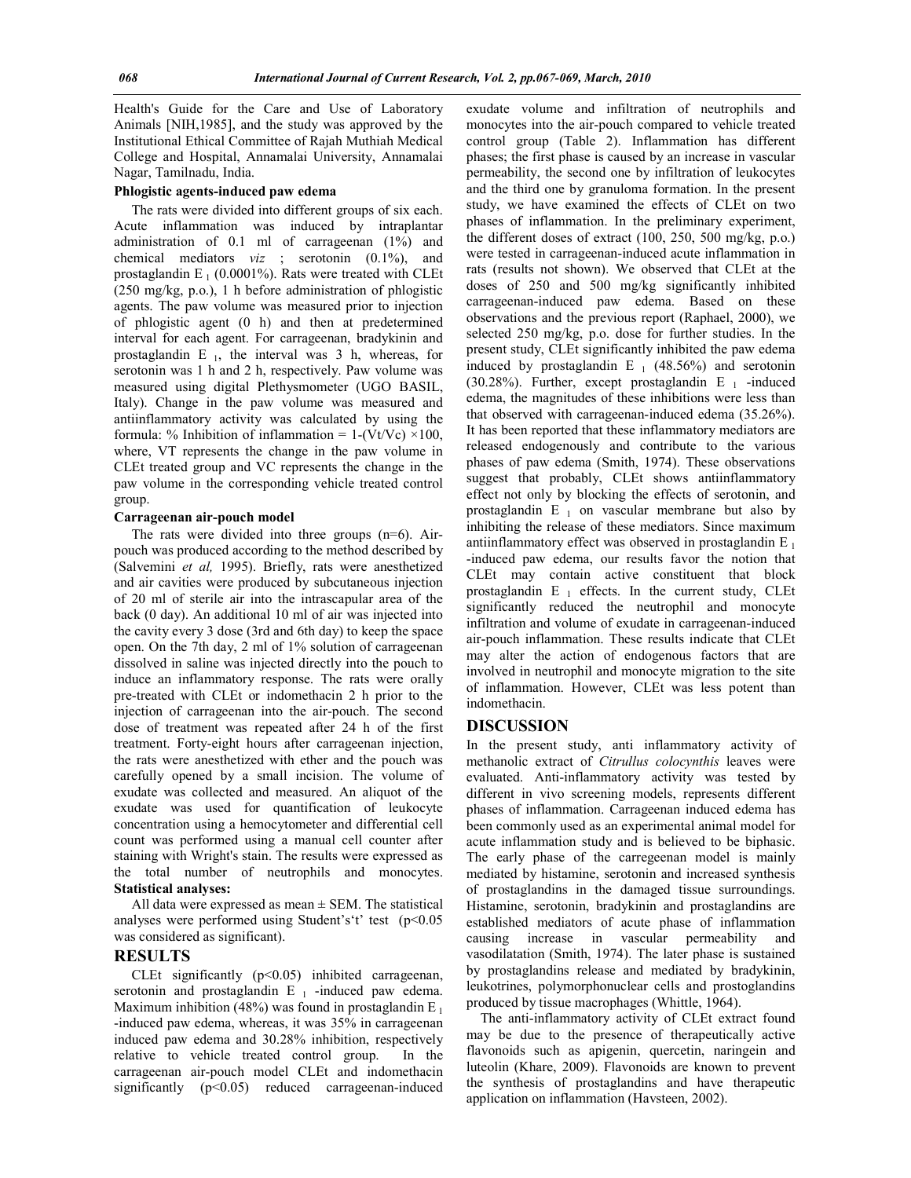Health's Guide for the Care and Use of Laboratory Animals [NIH,1985], and the study was approved by the Institutional Ethical Committee of Rajah Muthiah Medical College and Hospital, Annamalai University, Annamalai Nagar, Tamilnadu, India.

#### **Phlogistic agents-induced paw edema**

 The rats were divided into different groups of six each. Acute inflammation was induced by intraplantar administration of 0.1 ml of carrageenan (1%) and chemical mediators *viz* ; serotonin (0.1%), and prostaglandin  $E_1$  (0.0001%). Rats were treated with CLEt (250 mg/kg, p.o.), 1 h before administration of phlogistic agents. The paw volume was measured prior to injection of phlogistic agent (0 h) and then at predetermined interval for each agent. For carrageenan, bradykinin and prostaglandin E<sub>1</sub>, the interval was 3 h, whereas, for serotonin was 1 h and 2 h, respectively. Paw volume was measured using digital Plethysmometer (UGO BASIL, Italy). Change in the paw volume was measured and antiinflammatory activity was calculated by using the formula: % Inhibition of inflammation =  $1-(Vt/Vc) \times 100$ , where, VT represents the change in the paw volume in CLEt treated group and VC represents the change in the paw volume in the corresponding vehicle treated control group.

#### **Carrageenan air-pouch model**

 The rats were divided into three groups (n=6). Airpouch was produced according to the method described by (Salvemini *et al,* 1995). Briefly, rats were anesthetized and air cavities were produced by subcutaneous injection of 20 ml of sterile air into the intrascapular area of the back (0 day). An additional 10 ml of air was injected into the cavity every 3 dose (3rd and 6th day) to keep the space open. On the 7th day, 2 ml of 1% solution of carrageenan dissolved in saline was injected directly into the pouch to induce an inflammatory response. The rats were orally pre-treated with CLEt or indomethacin 2 h prior to the injection of carrageenan into the air-pouch. The second dose of treatment was repeated after 24 h of the first treatment. Forty-eight hours after carrageenan injection, the rats were anesthetized with ether and the pouch was carefully opened by a small incision. The volume of exudate was collected and measured. An aliquot of the exudate was used for quantification of leukocyte concentration using a hemocytometer and differential cell count was performed using a manual cell counter after staining with Wright's stain. The results were expressed as the total number of neutrophils and monocytes. **Statistical analyses:**

All data were expressed as mean  $\pm$  SEM. The statistical analyses were performed using Student's't' test (p<0.05 was considered as significant).

## **RESULTS**

CLEt significantly  $(p<0.05)$  inhibited carrageenan, serotonin and prostaglandin  $E_1$  -induced paw edema. Maximum inhibition (48%) was found in prostaglandin E<sub>1</sub> -induced paw edema, whereas, it was 35% in carrageenan induced paw edema and 30.28% inhibition, respectively relative to vehicle treated control group. In the carrageenan air-pouch model CLEt and indomethacin significantly (p<0.05) reduced carrageenan-induced

exudate volume and infiltration of neutrophils and monocytes into the air-pouch compared to vehicle treated control group (Table 2). Inflammation has different phases; the first phase is caused by an increase in vascular permeability, the second one by infiltration of leukocytes and the third one by granuloma formation. In the present study, we have examined the effects of CLEt on two phases of inflammation. In the preliminary experiment, the different doses of extract (100, 250, 500 mg/kg, p.o.) were tested in carrageenan-induced acute inflammation in rats (results not shown). We observed that CLEt at the doses of 250 and 500 mg/kg significantly inhibited carrageenan-induced paw edema. Based on these observations and the previous report (Raphael, 2000), we selected 250 mg/kg, p.o. dose for further studies. In the present study, CLEt significantly inhibited the paw edema induced by prostaglandin  $E_1$  (48.56%) and serotonin (30.28%). Further, except prostaglandin  $E_1$  -induced edema, the magnitudes of these inhibitions were less than that observed with carrageenan-induced edema (35.26%). It has been reported that these inflammatory mediators are released endogenously and contribute to the various phases of paw edema (Smith, 1974). These observations suggest that probably, CLEt shows antiinflammatory effect not only by blocking the effects of serotonin, and prostaglandin  $E_1$  on vascular membrane but also by inhibiting the release of these mediators. Since maximum antiinflammatory effect was observed in prostaglandin  $E_1$ -induced paw edema, our results favor the notion that CLEt may contain active constituent that block prostaglandin  $E_1$  effects. In the current study, CLEt significantly reduced the neutrophil and monocyte infiltration and volume of exudate in carrageenan-induced air-pouch inflammation. These results indicate that CLEt may alter the action of endogenous factors that are involved in neutrophil and monocyte migration to the site of inflammation. However, CLEt was less potent than indomethacin.

### **DISCUSSION**

In the present study, anti inflammatory activity of methanolic extract of *Citrullus colocynthis* leaves were evaluated. Anti-inflammatory activity was tested by different in vivo screening models, represents different phases of inflammation. Carrageenan induced edema has been commonly used as an experimental animal model for acute inflammation study and is believed to be biphasic. The early phase of the carregeenan model is mainly mediated by histamine, serotonin and increased synthesis of prostaglandins in the damaged tissue surroundings. Histamine, serotonin, bradykinin and prostaglandins are established mediators of acute phase of inflammation causing increase in vascular permeability and vasodilatation (Smith, 1974). The later phase is sustained by prostaglandins release and mediated by bradykinin, leukotrines, polymorphonuclear cells and prostoglandins produced by tissue macrophages (Whittle, 1964).

 The anti-inflammatory activity of CLEt extract found may be due to the presence of therapeutically active flavonoids such as apigenin, quercetin, naringein and luteolin (Khare, 2009). Flavonoids are known to prevent the synthesis of prostaglandins and have therapeutic application on inflammation (Havsteen, 2002).